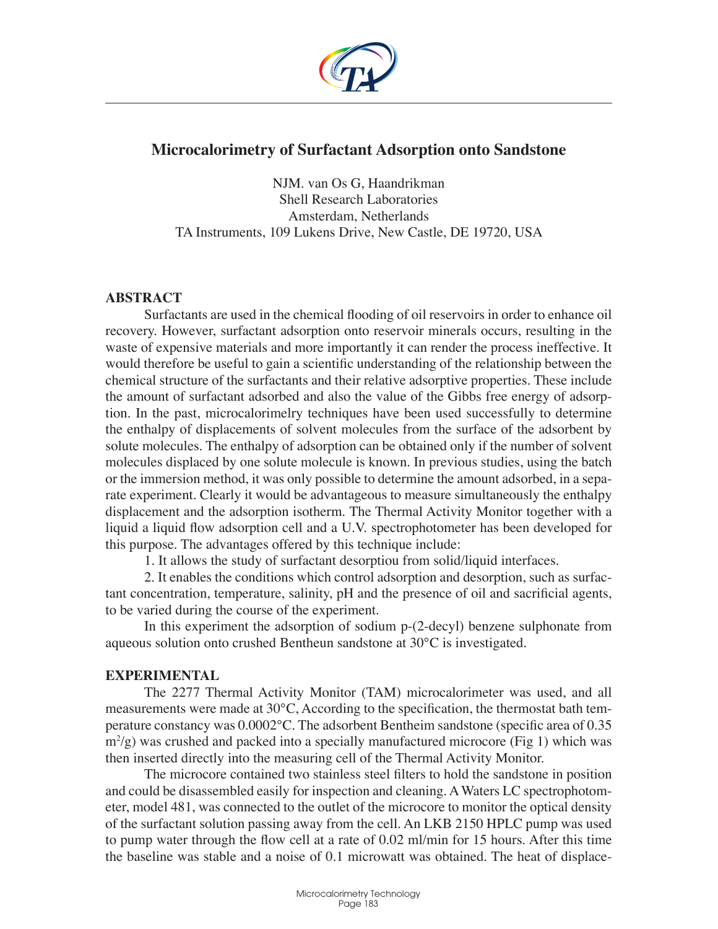

# **Microcalorimetry of Surfactant Adsorption onto Sandstone**

NJM. van Os G, Haandrikman Shell Research Laboratories Amsterdam, Netherlands TA Instruments, 109 Lukens Drive, New Castle, DE 19720, USA

### **ABSTRACT**

Surfactants are used in the chemical flooding of oil reservoirs in order to enhance oil recovery. However, surfactant adsorption onto reservoir minerals occurs, resulting in the waste of expensive materials and more importantly it can render the process ineffective. It would therefore be useful to gain a scientific understanding of the relationship between the chemical structure of the surfactants and their relative adsorptive properties. These include the amount of surfactant adsorbed and also the value of the Gibbs free energy of adsorption. In the past, microcalorimelry techniques have been used successfully to determine the enthalpy of displacements of solvent molecules from the surface of the adsorbent by solute molecules. The enthalpy of adsorption can be obtained only if the number of solvent molecules displaced by one solute molecule is known. In previous studies, using the batch or the immersion method, it was only possible to determine the amount adsorbed, in a separate experiment. Clearly it would be advantageous to measure simultaneously the enthalpy displacement and the adsorption isotherm. The Thermal Activity Monitor together with a liquid a liquid flow adsorption cell and a U.V. spectrophotometer has been developed for this purpose. The advantages offered by this technique include:

1. It allows the study of surfactant desorptiou from solid/liquid interfaces.

2. It enables the conditions which control adsorption and desorption, such as surfactant concentration, temperature, salinity, pH and the presence of oil and sacrificial agents, to be varied during the course of the experiment.

In this experiment the adsorption of sodium p-(2-decyl) benzene sulphonate from aqueous solution onto crushed Bentheun sandstone at 30°C is investigated.

# **EXPERIMENTAL**

The 2277 Thermal Activity Monitor (TAM) microcalorimeter was used, and all measurements were made at 30°C, According to the specification, the thermostat bath temperature constancy was 0.0002°C. The adsorbent Bentheim sandstone (specific area of 0.35  $\text{m}^2$ /g) was crushed and packed into a specially manufactured microcore (Fig 1) which was then inserted directly into the measuring cell of the Thermal Activity Monitor.

The microcore contained two stainless steel filters to hold the sandstone in position and could be disassembled easily for inspection and cleaning. A Waters LC spectrophotometer, model 481, was connected to the outlet of the microcore to monitor the optical density of the surfactant solution passing away from the cell. An LKB 2150 HPLC pump was used to pump water through the flow cell at a rate of 0.02 ml/min for 15 hours. After this time the baseline was stable and a noise of 0.1 microwatt was obtained. The heat of displace-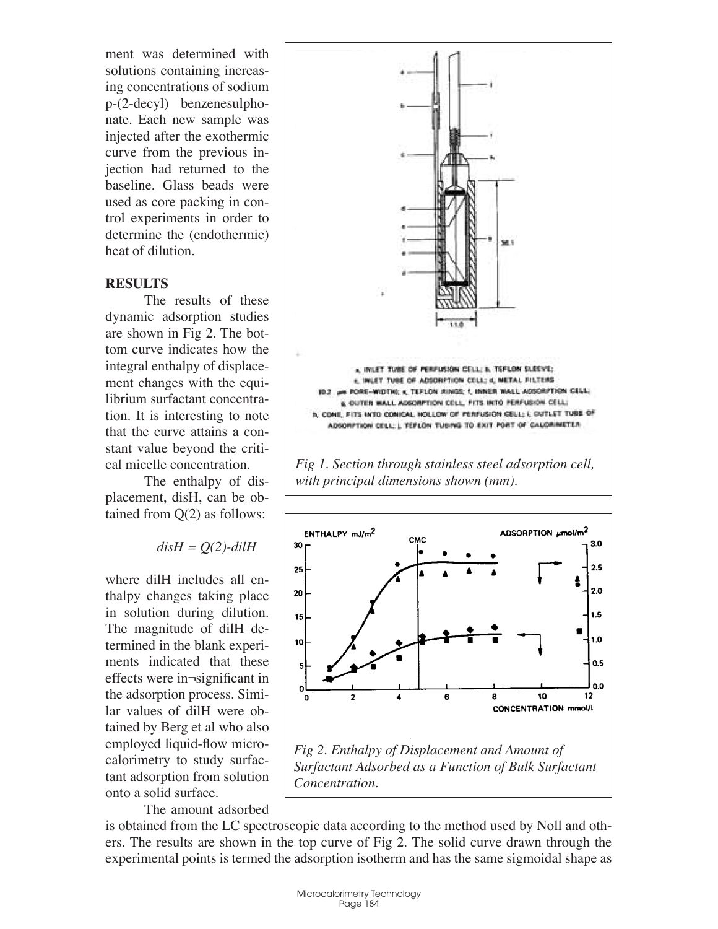ment was determined with solutions containing increasing concentrations of sodium p-(2-decyl) benzenesulphonate. Each new sample was injected after the exothermic curve from the previous injection had returned to the baseline. Glass beads were used as core packing in control experiments in order to determine the (endothermic) heat of dilution.

#### **RESULTS**

The results of these dynamic adsorption studies are shown in Fig 2. The bottom curve indicates how the integral enthalpy of displacement changes with the equilibrium surfactant concentration. It is interesting to note that the curve attains a constant value beyond the critical micelle concentration.

The enthalpy of displacement, disH, can be obtained from Q(2) as follows:

$$
disH = Q(2)\text{-}dilH
$$

where dilH includes all enthalpy changes taking place in solution during dilution. The magnitude of dilH determined in the blank experiments indicated that these effects were in¬significant in the adsorption process. Similar values of dilH were obtained by Berg et al who also employed liquid-flow microcalorimetry to study surfactant adsorption from solution onto a solid surface.

The amount adsorbed



*Fig 1. Section through stainless steel adsorption cell, with principal dimensions shown (mm).*



is obtained from the LC spectroscopic data according to the method used by Noll and others. The results are shown in the top curve of Fig 2. The solid curve drawn through the experimental points is termed the adsorption isotherm and has the same sigmoidal shape as